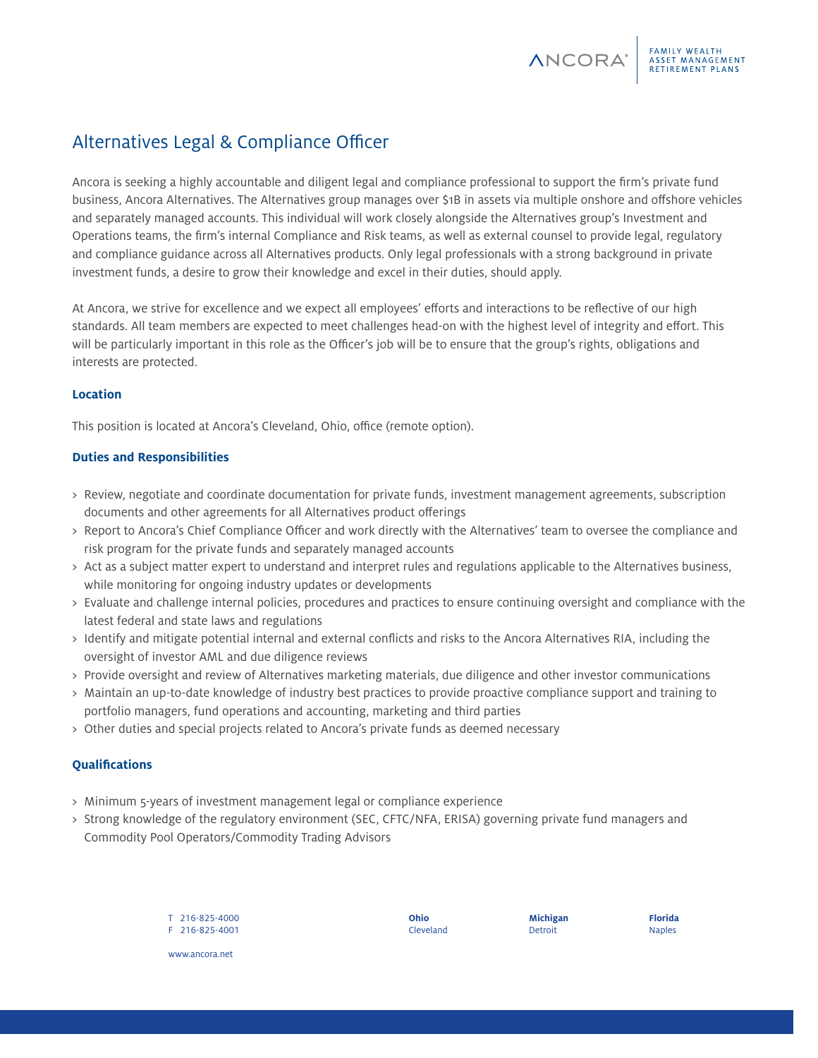Ancora is seeking a highly accountable and diligent legal and compliance professional to support the firm's private fund business, Ancora Alternatives. The Alternatives group manages over \$1B in assets via multiple onshore and offshore vehicles and separately managed accounts. This individual will work closely alongside the Alternatives group's Investment and Operations teams, the firm's internal Compliance and Risk teams, as well as external counsel to provide legal, regulatory and compliance guidance across all Alternatives products. Only legal professionals with a strong background in private investment funds, a desire to grow their knowledge and excel in their duties, should apply.

At Ancora, we strive for excellence and we expect all employees' efforts and interactions to be reflective of our high standards. All team members are expected to meet challenges head-on with the highest level of integrity and effort. This will be particularly important in this role as the Officer's job will be to ensure that the group's rights, obligations and interests are protected.

# **Location**

This position is located at Ancora's Cleveland, Ohio, office (remote option).

### **Duties and Responsibilities**

- > Review, negotiate and coordinate documentation for private funds, investment management agreements, subscription documents and other agreements for all Alternatives product offerings
- > Report to Ancora's Chief Compliance Officer and work directly with the Alternatives' team to oversee the compliance and risk program for the private funds and separately managed accounts
- > Act as a subject matter expert to understand and interpret rules and regulations applicable to the Alternatives business, while monitoring for ongoing industry updates or developments
- > Evaluate and challenge internal policies, procedures and practices to ensure continuing oversight and compliance with the latest federal and state laws and regulations
- > Identify and mitigate potential internal and external conflicts and risks to the Ancora Alternatives RIA, including the oversight of investor AML and due diligence reviews
- > Provide oversight and review of Alternatives marketing materials, due diligence and other investor communications
- > Maintain an up-to-date knowledge of industry best practices to provide proactive compliance support and training to portfolio managers, fund operations and accounting, marketing and third parties
- > Other duties and special projects related to Ancora's private funds as deemed necessary

# **Qualifications**

- > Minimum 5-years of investment management legal or compliance experience
- > Strong knowledge of the regulatory environment (SEC, CFTC/NFA, ERISA) governing private fund managers and Commodity Pool Operators/Commodity Trading Advisors

T 216-825-4000 F 216-825-4001 **Ohio** Cleveland **Michigan** Detroit

**ANCORA**<sup>®</sup>

FAMILY WEALTH<br>ASSET MANAGEMENT **RETIREMENT PLANS** 

**Florida** Naples

www.ancora.net